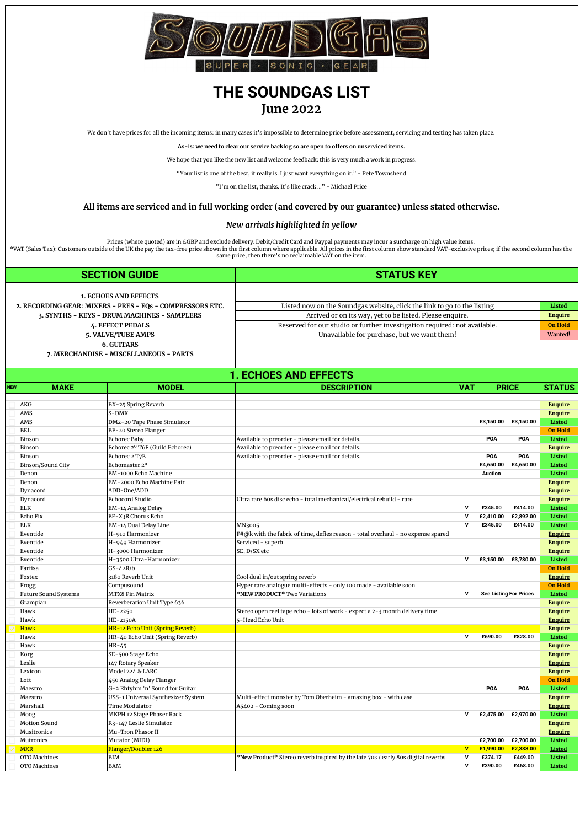

## **THE SOUNDGAS LIST June 2022**

We don't have prices for all the incoming items: in many cases it's impossible to determine price before assessment, servicing and testing has taken place.

**As-is: we need to clear our service backlog so are open to offers on unserviced items.**

We hope that you like the new list and welcome feedback: this is very much a work in progress.

"Your list is one of the best, it really is. I just want everything on it." - Pete Townshend

"I'm on the list, thanks. It's like crack …" - Michael Price

## **All items are serviced and in full working order (and covered by our guarantee) unless stated otherwise.**

## *[New arrivals highlighted in yellow](http://soundgas.com)*

Prices (where quoted) are in £GBP and exclude delivery. Debit/Credit Card and Paypal payments may incur a surcharge on high value items.<br>\*VAT (Sales Tax): Customers outside of the UK the pay the tax-free price shown in the

**SECTION GUIDE STATUS KEY [1. ECHOES AND EFFECTS](#gid=1354608902&range=B17:K17) [2. RECORDING GEAR: MIXERS - PRES - EQs - COMPRESSORS ETC.](#gid=1354608902&range=B132:K132)** Listed now on the Soundgas website, click the link to go to the listing **Listed 3. SYNTHS - KEYS - DRUM MACHINES - SAMPLERS Arrived or on its way, yet to be listed. Please enquire. [Enquire](https://soundgas.com/contact/) 4. EFFECT PEDALS ON HOLD** Reserved for our studio or further investigation required: not available. **On Hold**<br>5. VALVE/TUBE AMPS **ON HOLD** Unavailable for purchase, but we want them! **5. Unavailable for purchase, but we want them! Wanted! 6. GUITARS 7. MERCHANDISE - MISCELLANEOUS - PARTS**

| <b>NEW</b> | <b>MAKE</b>                 | <b>DESCRIPTION</b><br><b>MODEL</b><br><b>VAT</b> |                                                                                  |                         |                               |              | <b>STATUS</b>  |
|------------|-----------------------------|--------------------------------------------------|----------------------------------------------------------------------------------|-------------------------|-------------------------------|--------------|----------------|
|            |                             |                                                  |                                                                                  |                         |                               | <b>PRICE</b> |                |
|            | AKG                         | BX-25 Spring Reverb                              |                                                                                  |                         |                               |              | <b>Enquire</b> |
|            | AMS                         | S-DMX                                            |                                                                                  |                         |                               |              | <b>Enquire</b> |
|            | AMS                         | DM2-20 Tape Phase Simulator                      |                                                                                  |                         | £3,150.00                     | £3,150.00    | Listed         |
|            | <b>BEL</b>                  | BF-20 Stereo Flanger                             |                                                                                  |                         |                               |              | <b>On Hold</b> |
|            | Binson                      | Echorec Baby                                     | Available to preorder - please email for details.                                |                         | POA                           | POA          | Listed         |
|            | Binson                      | Echorec 2º T6F (Guild Echorec)                   | Available to preorder - please email for details.                                |                         |                               |              | <b>Enquire</b> |
|            | Binson                      | Echorec 2 T7E                                    | Available to preorder - please email for details.                                |                         | POA                           | POA          | Listed         |
|            | Binson/Sound City           | Echomaster 2º                                    |                                                                                  |                         | £4,650.00                     | £4,650.00    | Listed         |
|            | Denon                       | EM-1000 Echo Machine                             |                                                                                  |                         | <b>Auction</b>                |              | Listed         |
|            | Denon                       | EM-2000 Echo Machine Pair                        |                                                                                  |                         |                               |              | <b>Enquire</b> |
|            | Dynacord                    | ADD-One/ADD                                      |                                                                                  |                         |                               |              | <b>Enquire</b> |
|            | Dynacord                    | Echocord Studio                                  | Ultra rare 60s disc echo - total mechanical/electrical rebuild - rare            |                         |                               |              | <b>Enquire</b> |
|            | <b>ELK</b>                  | EM-14 Analog Delay                               |                                                                                  | $\mathbf v$             | £345.00                       | £414.00      | Listed         |
|            | Echo Fix                    | EF-X3R Chorus Echo                               |                                                                                  | $\mathbf v$             | £2,410.00                     | £2,892.00    | Listed         |
|            | ELK                         | EM-14 Dual Delay Line                            | MN3005                                                                           | $\mathbf v$             | £345.00                       | £414.00      | Listed         |
|            | Eventide                    | H-910 Harmonizer                                 | F#@k with the fabric of time, defies reason - total overhaul - no expense spared |                         |                               |              | <b>Enquire</b> |
|            | Eventide                    | H-949 Harmonizer                                 | Serviced - superb                                                                |                         |                               |              | <b>Enquire</b> |
|            | Eventide                    | H-3000 Harmonizer                                | SE, D/SX etc                                                                     |                         |                               |              | <b>Enquire</b> |
|            | Eventide                    | H-3500 Ultra-Harmonizer                          |                                                                                  | $\mathbf v$             | £3,150.00                     | £3,780.00    | Listed         |
|            | Farfisa                     | GS-42R/b                                         |                                                                                  |                         |                               |              | <b>On Hold</b> |
|            | Fostex                      | 3180 Reverb Unit                                 | Cool dual in/out spring reverb                                                   |                         |                               |              | <b>Enquire</b> |
|            | Frogg                       | Compusound                                       | Hyper rare analogue multi-effects - only 100 made - available soon               |                         |                               |              | <b>On Hold</b> |
|            | <b>Future Sound Systems</b> | MTX8 Pin Matrix                                  | *NEW PRODUCT* Two Variations                                                     | $\mathbf v$             | <b>See Listing For Prices</b> |              | <b>Listed</b>  |
|            | Grampian                    | Reverberation Unit Type 636                      |                                                                                  |                         |                               |              | <b>Enquire</b> |
|            | Hawk                        | HE-2250                                          | Stereo open reel tape echo - lots of work - expect a 2-3 month delivery time     |                         |                               |              | <b>Enquire</b> |
|            | Hawk                        | HE-2150A                                         | 5-Head Echo Unit                                                                 |                         |                               |              | <b>Enquire</b> |
|            | <b>Hawk</b>                 | HR-12 Echo Unit (Spring Reverb)                  |                                                                                  |                         |                               |              | <b>Enquire</b> |
|            | Hawk                        | HR-40 Echo Unit (Spring Reverb)                  |                                                                                  | $\mathbf v$             | £690.00                       | £828.00      | Listed         |
|            | Hawk                        | HR-45                                            |                                                                                  |                         |                               |              | <b>Enquire</b> |
|            | Korg                        | SE-500 Stage Echo                                |                                                                                  |                         |                               |              | <b>Enquire</b> |
|            | Leslie                      | 147 Rotary Speaker                               |                                                                                  |                         |                               |              | <b>Enquire</b> |
|            | Lexicon                     | Model 224 & LARC                                 |                                                                                  |                         |                               |              | <b>Enquire</b> |
|            | Loft                        | 450 Analog Delay Flanger                         |                                                                                  |                         |                               |              | <b>On Hold</b> |
|            | Maestro                     | G-2 Rhtyhm 'n' Sound for Guitar                  |                                                                                  |                         | POA                           | POA          | Listed         |
|            | Maestro                     | USS-1 Universal Synthesizer System               | Multi-effect monster by Tom Oberheim - amazing box - with case                   |                         |                               |              | <b>Enquire</b> |
|            | Marshall                    | Time Modulator                                   | A5402 - Coming soon                                                              |                         |                               |              | <b>Enquire</b> |
|            | Moog                        | MKPH 12 Stage Phaser Rack                        |                                                                                  | $\mathbf v$             | £2,475.00                     | £2,970.00    | Listed         |
|            | Motion Sound                | R3-147 Leslie Simulator                          |                                                                                  |                         |                               |              | <b>Enquire</b> |
|            | Musitronics                 | Mu-Tron Phasor II                                |                                                                                  |                         |                               |              | <b>Enquire</b> |
|            | Mutronics                   | Mutator (MIDI)                                   |                                                                                  |                         | £2,700.00                     | £2,700.00    | Listed         |
|            | <b>MXR</b>                  | Flanger/Doubler 126                              |                                                                                  | $\overline{\mathbf{v}}$ | £1,990.00                     | £2,388.00    | Listed         |
|            | OTO Machines                | <b>BIM</b>                                       | *New Product* Stereo reverb inspired by the late 70s / early 80s digital reverbs | $\mathbf v$             | £374.17                       | £449.00      | Listed         |
|            | OTO Machines                | <b>BAM</b>                                       |                                                                                  | $\mathsf{v}$            | £390.00                       | £468.00      | Listed         |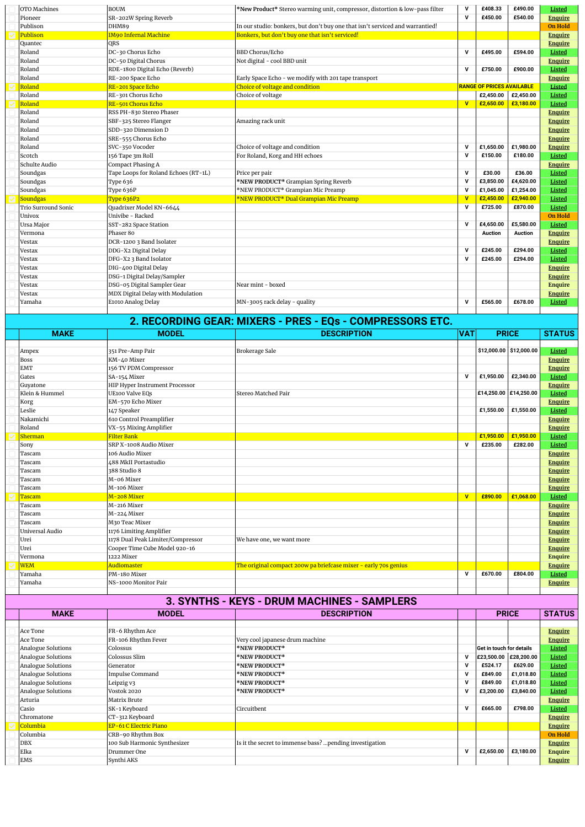| OTO Machines        | <b>BOUM</b>                          | *New Product* Stereo warming unit, compressor, distortion & low-pass filter   | $\mathsf{v}$ | £408.33                          | £490.00        | Listed         |
|---------------------|--------------------------------------|-------------------------------------------------------------------------------|--------------|----------------------------------|----------------|----------------|
| Pioneer             | SR-202W Spring Reverb                |                                                                               | $\mathbf v$  | £450.00                          | £540.00        | <b>Enquire</b> |
| Publison            | DHM89                                | In our studio: bonkers, but don't buy one that isn't serviced and warrantied! |              |                                  |                | <b>On Hold</b> |
| Publison            | <b>IM90 Infernal Machine</b>         | Bonkers, but don't buy one that isn't serviced!                               |              |                                  |                | <b>Enquire</b> |
| Quantec             | <b>ORS</b>                           |                                                                               |              |                                  |                | <b>Enquire</b> |
| Roland              | DC-30 Chorus Echo                    | <b>BBD Chorus/Echo</b>                                                        | $\mathsf{v}$ | £495.00                          | £594.00        | Listed         |
| Roland              | DC-50 Digital Chorus                 | Not digital - cool BBD unit                                                   |              |                                  |                | <b>Enquire</b> |
| Roland              | RDE-1800 Digital Echo (Reverb)       |                                                                               | $\mathsf{v}$ | £750.00                          | £900.00        | Listed         |
| Roland              | RE-200 Space Echo                    | Early Space Echo - we modify with 201 tape transport                          |              |                                  |                | <b>Enquire</b> |
| Roland              | RE-201 Space Echo                    | Choice of voltage and condition                                               |              | <b>RANGE OF PRICES AVAILABLE</b> |                | Listed         |
| Roland              | RE-301 Chorus Echo                   | Choice of voltage                                                             |              | £2,450.00                        | £2,450.00      | Listed         |
| Roland              | RE-501 Chorus Echo                   |                                                                               | $\mathbf{V}$ | £2,650.00                        | £3,180.00      | Listed         |
| Roland              | RSS PH-830 Stereo Phaser             |                                                                               |              |                                  |                | <b>Enquire</b> |
| Roland              | SBF-325 Stereo Flanger               | Amazing rack unit                                                             |              |                                  |                | <b>Enquire</b> |
| Roland              | SDD-320 Dimension D                  |                                                                               |              |                                  |                | <b>Enquire</b> |
| Roland              | SRE-555 Chorus Echo                  |                                                                               |              |                                  |                | <b>Enquire</b> |
| Roland              | SVC-350 Vocoder                      | Choice of voltage and condition                                               | $\mathbf v$  | £1,650.00                        | £1,980.00      | <b>Enquire</b> |
| Scotch              | 156 Tape 3m Roll                     | For Roland, Korg and HH echoes                                                | $\mathbf v$  | £150.00                          | £180.00        | Listed         |
| Schulte Audio       | Compact Phasing A                    |                                                                               |              |                                  |                | <b>Enquire</b> |
| Soundgas            | Tape Loops for Roland Echoes (RT-1L) | Price per pair                                                                | $\mathbf v$  | £30.00                           | £36.00         | Listed         |
| Soundgas            | Type 636                             | *NEW PRODUCT* Grampian Spring Reverb                                          | $\mathbf v$  | £3,850.00                        | £4.620.00      | Listed         |
| Soundgas            | Type 636P                            | *NEW PRODUCT* Grampian Mic Preamp                                             | $\mathbf v$  | £1,045.00                        | £1,254.00      | Listed         |
| <b>Soundgas</b>     | Type 636P2                           | *NEW PRODUCT* Dual Grampian Mic Preamp                                        | $\mathbf{V}$ | £2,450.00                        | £2,940.00      | Listed         |
| Trio Surround Sonic | Quadrixer Model KN-6644              |                                                                               | $\mathbf{v}$ | £725.00                          | £870.00        | Listed         |
| Univox              | Univibe - Racked                     |                                                                               |              |                                  |                | <b>On Hold</b> |
| Ursa Major          | SST-282 Space Station                |                                                                               | $\mathbf v$  | £4,650.00                        | £5,580.00      | Listed         |
| Vermona             | Phaser 80                            |                                                                               |              | Auction                          | <b>Auction</b> | <b>Enquire</b> |
| Vestax              | DCR-1200 3 Band Isolater             |                                                                               |              |                                  |                | <b>Enquire</b> |
| Vestax              | DDG-X2 Digital Delay                 |                                                                               | $\mathbf v$  | £245.00                          | £294.00        | Listed         |
| Vestax              | DFG-X2 3 Band Isolator               |                                                                               | $\mathbf v$  | £245.00                          | £294.00        | Listed         |
| Vestax              | DIG-400 Digital Delay                |                                                                               |              |                                  |                | <b>Enquire</b> |
| Vestax              | DSG-1 Digital Delay/Sampler          |                                                                               |              |                                  |                | <b>Enquire</b> |
| Vestax              | DSG-05 Digital Sampler Gear          | Near mint - boxed                                                             |              |                                  |                | <b>Enquire</b> |
| <b>Vestax</b>       | MDX Digital Delay with Modulation    |                                                                               |              |                                  |                | <b>Enquire</b> |
| Yamaha              | E1010 Analog Delay                   | MN-3005 rack delay - quality                                                  | $\mathbf v$  | £565.00                          | £678.00        | Listed         |
|                     |                                      |                                                                               |              |                                  |                |                |

| 2. RECORDING GEAR: MIXERS - PRES - EQs - COMPRESSORS ETC. |                                   |                                                                 |              |                         |           |                |  |
|-----------------------------------------------------------|-----------------------------------|-----------------------------------------------------------------|--------------|-------------------------|-----------|----------------|--|
| <b>MAKE</b>                                               | <b>MODEL</b>                      | <b>DESCRIPTION</b>                                              | <b>VAT</b>   | <b>PRICE</b>            |           | <b>STATUS</b>  |  |
|                                                           |                                   |                                                                 |              |                         |           |                |  |
| Ampex                                                     | 351 Pre-Amp Pair                  | <b>Brokerage Sale</b>                                           |              | \$12,000.00 \$12,000.00 |           | Listed         |  |
| <b>Boss</b>                                               | KM-40 Mixer                       |                                                                 |              |                         |           | <b>Enquire</b> |  |
| <b>EMT</b>                                                | 156 TV PDM Compressor             |                                                                 |              |                         |           | <b>Enquire</b> |  |
| Gates                                                     | SA-154 Mixer                      |                                                                 | $\mathbf v$  | £1,950.00               | £2,340.00 | Listed         |  |
| Guyatone                                                  | HIP Hyper Instrument Processor    |                                                                 |              |                         |           | <b>Enquire</b> |  |
| Klein & Hummel                                            | <b>UE100 Valve EQs</b>            | Stereo Matched Pair                                             |              | £14,250.00 £14,250.00   |           | Listed         |  |
| Korg                                                      | EM-570 Echo Mixer                 |                                                                 |              |                         |           | <b>Enquire</b> |  |
| Leslie                                                    | 147 Speaker                       |                                                                 |              | £1,550.00               | £1,550.00 | Listed         |  |
| Nakamichi                                                 | 610 Control Preamplifier          |                                                                 |              |                         |           | <b>Enquire</b> |  |
| Roland                                                    | VX-55 Mixing Amplifier            |                                                                 |              |                         |           | <b>Enquire</b> |  |
| Sherman                                                   | <b>Filter Bank</b>                |                                                                 |              | £1,950.00               | £1.950.00 | Listed         |  |
| Sony                                                      | SRP X-1008 Audio Mixer            |                                                                 | $\mathbf{v}$ | £235.00                 | £282.00   | Listed         |  |
| Tascam                                                    | 106 Audio Mixer                   |                                                                 |              |                         |           | <b>Enquire</b> |  |
| Tascam                                                    | 488 MkII Portastudio              |                                                                 |              |                         |           | <b>Enquire</b> |  |
| Tascam                                                    | 388 Studio 8                      |                                                                 |              |                         |           | <b>Enquire</b> |  |
| Tascam                                                    | M-06 Mixer                        |                                                                 |              |                         |           | <b>Enquire</b> |  |
| Tascam                                                    | M-106 Mixer                       |                                                                 |              |                         |           | <b>Enquire</b> |  |
| <b>Tascam</b>                                             | M-208 Mixer                       |                                                                 | $\mathbf{v}$ | £890.00                 | £1.068.00 | Listed         |  |
| Tascam                                                    | M-216 Mixer                       |                                                                 |              |                         |           | <b>Enquire</b> |  |
| Tascam                                                    | M-224 Mixer                       |                                                                 |              |                         |           | <b>Enquire</b> |  |
| Tascam                                                    | M30 Teac Mixer                    |                                                                 |              |                         |           | <b>Enquire</b> |  |
| Universal Audio                                           | 1176 Limiting Amplifier           |                                                                 |              |                         |           | <b>Enquire</b> |  |
| Urei                                                      | 1178 Dual Peak Limiter/Compressor | We have one, we want more                                       |              |                         |           | <b>Enquire</b> |  |
| Urei                                                      | Cooper Time Cube Model 920-16     |                                                                 |              |                         |           | <b>Enquire</b> |  |
| Vermona                                                   | 1222 Mixer                        |                                                                 |              |                         |           | <b>Enquire</b> |  |
| <b>WEM</b>                                                | Audiomaster                       | The original compact 200w pa briefcase mixer - early 70s genius |              |                         |           | <b>Enquire</b> |  |
| Yamaha                                                    | PM-180 Mixer                      |                                                                 | $\mathbf v$  | £670.00                 | £804.00   | Listed         |  |
| Yamaha                                                    | NS-1000 Monitor Pair              |                                                                 |              |                         |           | <b>Enquire</b> |  |
|                                                           |                                   |                                                                 |              |                         |           |                |  |

## **3. SYNTHS - KEYS - DRUM MACHINES - SAMPLERS**

| <b>MAKE</b>        | <b>MODEL</b>                 | <b>DESCRIPTION</b>                                       |   | <b>PRICE</b>             |           | <b>STATUS</b>  |
|--------------------|------------------------------|----------------------------------------------------------|---|--------------------------|-----------|----------------|
|                    |                              |                                                          |   |                          |           |                |
| Ace Tone           | FR-6 Rhythm Ace              |                                                          |   |                          |           | <b>Enquire</b> |
| Ace Tone           | FR-106 Rhythm Fever          | Very cool japanese drum machine                          |   |                          |           | <b>Enquire</b> |
| Analogue Solutions | Colossus                     | *NEW PRODUCT*                                            |   | Get in touch for details |           | Listed         |
| Analogue Solutions | Colossus Slim                | *NEW PRODUCT*                                            |   | £23,500.00 £28,200.00    |           | Listed         |
| Analogue Solutions | Generator                    | *NEW PRODUCT*                                            | M | £524.17                  | £629.00   | Listed         |
| Analogue Solutions | Impulse Command              | *NEW PRODUCT*                                            |   | £849.00                  | £1,018.80 | Listed         |
| Analogue Solutions | Leipzig v3                   | *NEW PRODUCT*                                            |   | £849.00                  | £1,018.80 | Listed         |
| Analogue Solutions | Vostok 2020                  | *NEW PRODUCT*                                            | v | £3,200.00                | £3,840.00 | Listed         |
| Arturia            | Matrix Brute                 |                                                          |   |                          |           | <b>Enquire</b> |
| Casio              | SK-1 Keyboard                | Circuitbent                                              | M | £665.00                  | £798.00   | Listed         |
| Chromatone         | CT-312 Keyboard              |                                                          |   |                          |           | <b>Enquire</b> |
| Columbia           | EP-61 C Electric Piano       |                                                          |   |                          |           | <b>Enquire</b> |
| Columbia           | CRB-90 Rhythm Box            |                                                          |   |                          |           | On Hold        |
| <b>DBX</b>         | 100 Sub Harmonic Synthesizer | Is it the secret to immense bass?  pending investigation |   |                          |           | <b>Enquire</b> |
| Elka               | Drummer One                  |                                                          | V | £2,650.00                | £3,180.00 | Enquire        |
| EMS                | Synthi AKS                   |                                                          |   |                          |           | <b>Enquire</b> |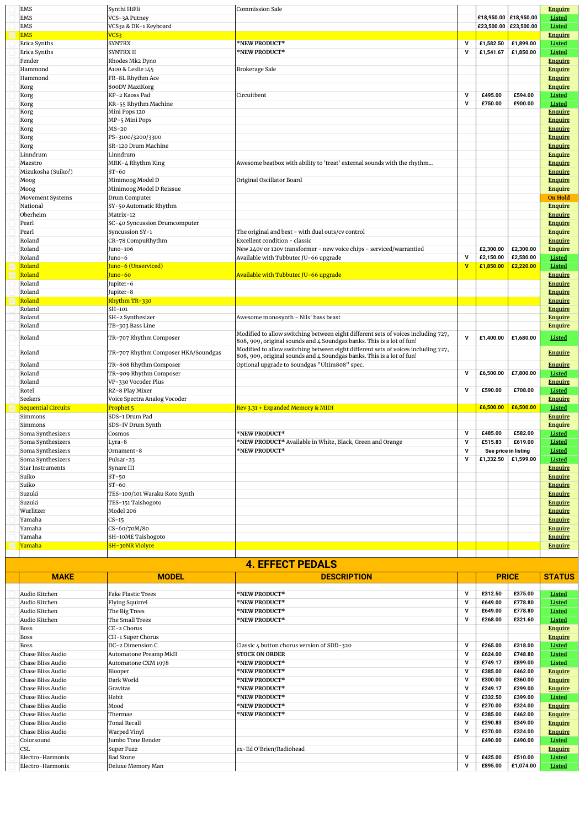| <b>EMS</b>                 | Synthi HiFli                        | <b>Commission Sale</b>                                                            |              |                       |                       | <b>Enquire</b> |
|----------------------------|-------------------------------------|-----------------------------------------------------------------------------------|--------------|-----------------------|-----------------------|----------------|
| <b>EMS</b>                 | VCS-3A Putney                       |                                                                                   |              | £18,950.00 £18,950.00 |                       | <b>Listed</b>  |
| EMS                        | VCS3a & DK-1 Keyboard               |                                                                                   |              |                       | £23,500.00 £23,500.00 | Listed         |
| <b>EMS</b>                 | VCS <sub>3</sub>                    |                                                                                   |              |                       |                       | <b>Enquire</b> |
| Erica Synths               | <b>SYNTRX</b>                       | <b>*NEW PRODUCT*</b>                                                              | $\mathsf{v}$ | £1,582.50             | £1,899.00             | <b>Listed</b>  |
| Erica Synths               | <b>SYNTRXII</b>                     | <b>*NEW PRODUCT*</b>                                                              | $\mathbf v$  | £1,541.67             | £1,850.00             | Listed         |
| Fender                     | Rhodes Mk2 Dyno                     |                                                                                   |              |                       |                       | <b>Enquire</b> |
| Hammond                    | A100 & Leslie 145                   | Brokerage Sale                                                                    |              |                       |                       | <b>Enquire</b> |
| Hammond                    | FR-8L Rhythm Ace                    |                                                                                   |              |                       |                       | <b>Enquire</b> |
| Korg                       | 800DV MaxiKorg                      |                                                                                   |              |                       |                       | <b>Enquire</b> |
| Korg                       | KP-2 Kaoss Pad                      | Circuitbent                                                                       | $\mathsf{v}$ | £495.00               | £594.00               | <b>Listed</b>  |
| Korg                       | KR-55 Rhythm Machine                |                                                                                   | $\mathbf v$  | £750.00               | £900.00               | <b>Listed</b>  |
| Korg                       | Mini Pops 120                       |                                                                                   |              |                       |                       | <b>Enquire</b> |
| Korg                       | MP-5 Mini Pops                      |                                                                                   |              |                       |                       | <b>Enquire</b> |
|                            | MS-20                               |                                                                                   |              |                       |                       | <b>Enquire</b> |
| Korg                       | PS-3100/3200/3300                   |                                                                                   |              |                       |                       |                |
| Korg                       |                                     |                                                                                   |              |                       |                       | Enquire        |
| Korg                       | SR-120 Drum Machine                 |                                                                                   |              |                       |                       | <b>Enquire</b> |
| Linndrum                   | Linndrum                            |                                                                                   |              |                       |                       | <b>Enquire</b> |
| Maestro                    | MRK-4 Rhythm King                   | Awesome beatbox with ability to 'treat' external sounds with the rhythm           |              |                       |                       | <b>Enquire</b> |
| Mizukosha (Suiko?)         | $ST-60$                             |                                                                                   |              |                       |                       | <b>Enquire</b> |
| Moog                       | Minimoog Model D                    | Original Oscillator Board                                                         |              |                       |                       | <b>Enquire</b> |
| Moog                       | Minimoog Model D Reissue            |                                                                                   |              |                       |                       | <b>Enquire</b> |
| Movement Systems           | Drum Computer                       |                                                                                   |              |                       |                       | <b>On Hold</b> |
| National                   | SY-50 Automatic Rhythm              |                                                                                   |              |                       |                       | <b>Enquire</b> |
| Oberheim                   | Matrix-12                           |                                                                                   |              |                       |                       | <b>Enquire</b> |
| Pearl                      | SC-40 Syncussion Drumcomputer       |                                                                                   |              |                       |                       | <b>Enquire</b> |
| Pearl                      | Syncussion SY-1                     | The original and best - with dual outs/cv control                                 |              |                       |                       | <b>Enquire</b> |
| Roland                     | CR-78 CompuRhythm                   | Excellent condition - classic                                                     |              |                       |                       | <b>Enquire</b> |
| Roland                     | Juno-106                            | New 240v or 120v transformer - new voice chips - serviced/warrantied              |              | £2,300.00             | £2,300.00             | <b>Enquire</b> |
| Roland                     | Juno-6                              | Available with Tubbutec JU-66 upgrade                                             | $\mathsf{v}$ | £2,150.00             | £2,580.00             | Listed         |
| Roland                     | <mark>Juno-6 (Unserviced)</mark>    |                                                                                   | v            | £1,850.00             | £2,220.00             | <b>Listed</b>  |
| <mark>Roland</mark>        | Juno-60                             | Available with Tubbutec JU-66 upgrade                                             |              |                       |                       | <b>Enquire</b> |
| Roland                     | Jupiter-6                           |                                                                                   |              |                       |                       | <b>Enquire</b> |
|                            |                                     |                                                                                   |              |                       |                       |                |
|                            |                                     |                                                                                   |              |                       |                       |                |
| Roland                     | Jupiter-8                           |                                                                                   |              |                       |                       | <b>Enquire</b> |
| Roland                     | Rhythm TR-330                       |                                                                                   |              |                       |                       | <b>Enquire</b> |
| Roland                     | SH-101                              |                                                                                   |              |                       |                       | <b>Enquire</b> |
| Roland                     | SH-2 Synthesizer                    | Awesome monosynth - Nils' bass beast                                              |              |                       |                       | <b>Enquire</b> |
| Roland                     | TB-303 Bass Line                    |                                                                                   |              |                       |                       | <b>Enquire</b> |
| Roland                     |                                     | Modified to allow switching between eight different sets of voices including 727, | $\mathbf v$  | £1,400.00             | £1,680.00             | Listed         |
|                            | TR-707 Rhythm Composer              | 808, 909, original sounds and 4 Soundgas banks. This is a lot of fun!             |              |                       |                       |                |
| Roland                     | TR-707 Rhythm Composer HKA/Soundgas | Modified to allow switching between eight different sets of voices including 727, |              |                       |                       | <b>Enquire</b> |
|                            |                                     | 808, 909, original sounds and 4 Soundgas banks. This is a lot of fun!             |              |                       |                       |                |
| Roland                     | TR-808 Rhythm Composer              | Optional upgrade to Soundgas "Ultim808" spec.                                     |              |                       |                       | <b>Enquire</b> |
| Roland                     | TR-909 Rhythm Composer              |                                                                                   | $\mathsf{v}$ | £6,500.00             | £7,800.00             | <b>Listed</b>  |
| Roland                     | VP-330 Vocoder Plus                 |                                                                                   |              |                       |                       | <b>Enquire</b> |
| Rotel                      | RZ-8 Play Mixer                     |                                                                                   | v            | £590.00               | £708.00               | Listed         |
| Seekers                    | Voice Spectra Analog Vocoder        |                                                                                   |              |                       |                       | <b>Enquire</b> |
| <b>Sequential Circuits</b> | Prophet 5                           | Rev 3.31 + Expanded Memory & MIDI                                                 |              | £6,500.00             | £6,500.00             | <b>Listed</b>  |
| Simmons                    | SDS-1 Drum Pad                      |                                                                                   |              |                       |                       | <b>Enquire</b> |
| Simmons                    | SDS-IV Drum Synth                   |                                                                                   |              |                       |                       | <b>Enquire</b> |
| Soma Synthesizers          | Cosmos                              | <b>*NEW PRODUCT*</b>                                                              | $\mathsf{v}$ | £485.00               | £582.00               | <b>Listed</b>  |
| Soma Synthesizers          | Lyra-8                              | *NEW PRODUCT* Available in White, Black, Green and Orange                         | v            | £515.83               | £619.00               | Listed         |
| Soma Synthesizers          | Ornament-8                          | <b>*NEW PRODUCT*</b>                                                              | ${\bf v}$    |                       | See price in listing  | <b>Listed</b>  |
| Soma Synthesizers          | Pulsar-23                           |                                                                                   | $\mathbf v$  | £1,332.50 £1,599.00   |                       | Listed         |
| <b>Star Instruments</b>    | Synare III                          |                                                                                   |              |                       |                       | <b>Enquire</b> |
| Suiko                      | $ST-50$                             |                                                                                   |              |                       |                       |                |
|                            | $ST-60$                             |                                                                                   |              |                       |                       | <b>Enquire</b> |
| Suiko                      |                                     |                                                                                   |              |                       |                       | <b>Enquire</b> |
| Suzuki                     | TES-100/101 Waraku Koto Synth       |                                                                                   |              |                       |                       | <b>Enquire</b> |
| Suzuki                     | TES-151 Taishogoto                  |                                                                                   |              |                       |                       | <b>Enquire</b> |
| Wurlitzer                  | Model 206                           |                                                                                   |              |                       |                       | <b>Enquire</b> |
| Yamaha                     | $CS-15$                             |                                                                                   |              |                       |                       | <b>Enquire</b> |
| Yamaha                     | CS-60/70M/80                        |                                                                                   |              |                       |                       | <b>Enquire</b> |
| Yamaha                     | SH-10ME Taishogoto                  |                                                                                   |              |                       |                       | <b>Enquire</b> |
| <u>Yamaha</u>              | SH-30NR Violyre                     |                                                                                   |              |                       |                       | <b>Enquire</b> |

| <b>4. EFFECT PEDALS</b> |                           |                                            |              |              |           |                |  |  |
|-------------------------|---------------------------|--------------------------------------------|--------------|--------------|-----------|----------------|--|--|
| <b>MAKE</b>             | <b>MODEL</b>              | <b>DESCRIPTION</b>                         |              | <b>PRICE</b> |           | <b>STATUS</b>  |  |  |
|                         |                           |                                            |              |              |           |                |  |  |
| Audio Kitchen           | <b>Fake Plastic Trees</b> | *NEW PRODUCT*                              | $\mathbf v$  | £312.50      | £375.00   | <b>Listed</b>  |  |  |
| Audio Kitchen           | <b>Flying Squirrel</b>    | *NEW PRODUCT*                              | v            | £649.00      | £778.80   | Listed         |  |  |
| Audio Kitchen           | The Big Trees             | *NEW PRODUCT*                              | v            | £649.00      | £778.80   | Listed         |  |  |
| Audio Kitchen           | The Small Trees           | *NEW PRODUCT*                              | $\mathbf v$  | £268.00      | £321.60   | Listed         |  |  |
| <b>Boss</b>             | CE-2 Chorus               |                                            |              |              |           | <b>Enquire</b> |  |  |
| <b>Boss</b>             | CH-1 Super Chorus         |                                            |              |              |           | <b>Enquire</b> |  |  |
| <b>Boss</b>             | DC-2 Dimension C          | Classic 4 button chorus version of SDD-320 | v            | £265.00      | £318.00   | Listed         |  |  |
| Chase Bliss Audio       | Automatone Preamp MkII    | <b>STOCK ON ORDER</b>                      | $\mathbf v$  | £624.00      | £748.80   | Listed         |  |  |
| Chase Bliss Audio       | Automatone CXM 1978       | *NEW PRODUCT*                              | $\mathbf v$  | £749.17      | £899.00   | Listed         |  |  |
| Chase Bliss Audio       | Blooper                   | *NEW PRODUCT*                              | v            | £385.00      | £462.00   | <b>Enquire</b> |  |  |
| Chase Bliss Audio       | Dark World                | *NEW PRODUCT*                              | $\mathbf v$  | £300.00      | £360.00   | <b>Enquire</b> |  |  |
| Chase Bliss Audio       | Gravitas                  | *NEW PRODUCT*                              | $\mathbf v$  | £249.17      | £299.00   | <b>Enquire</b> |  |  |
| Chase Bliss Audio       | Habit                     | *NEW PRODUCT*                              | v            | £332.50      | £399.00   | Listed         |  |  |
| Chase Bliss Audio       | Mood                      | *NEW PRODUCT*                              | v            | £270.00      | £324.00   | <b>Enquire</b> |  |  |
| Chase Bliss Audio       | Thermae                   | *NEW PRODUCT*                              | $\mathbf v$  | £385.00      | £462.00   | <b>Enquire</b> |  |  |
| Chase Bliss Audio       | <b>Tonal Recall</b>       |                                            | v            | £290.83      | £349.00   | <b>Enquire</b> |  |  |
| Chase Bliss Audio       | Warped Vinyl              |                                            | v            | £270.00      | £324.00   | <b>Enquire</b> |  |  |
| Colorsound              | Jumbo Tone Bender         |                                            |              | £490.00      | £490.00   | Listed         |  |  |
| <b>CSL</b>              | Super Fuzz                | ex-Ed O'Brien/Radiohead                    |              |              |           | <b>Enquire</b> |  |  |
| Electro-Harmonix        | <b>Bad Stone</b>          |                                            | $\mathbf v$  | £425.00      | £510.00   | Listed         |  |  |
| Electro-Harmonix        | Deluxe Memory Man         |                                            | $\mathsf{v}$ | £895.00      | £1,074.00 | Listed         |  |  |